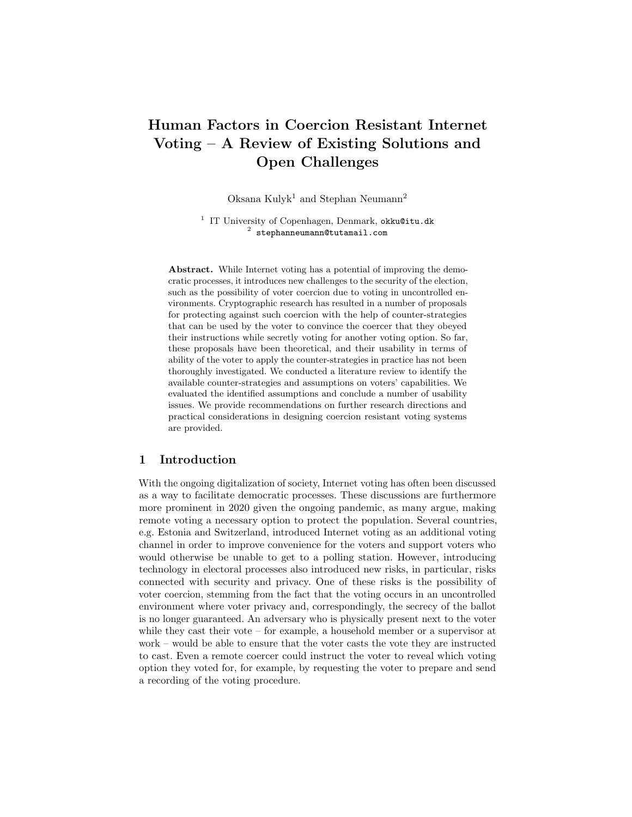# Human Factors in Coercion Resistant Internet Voting – A Review of Existing Solutions and Open Challenges

Oksana Kulyk<sup>1</sup> and Stephan Neumann<sup>2</sup>

<sup>1</sup> IT University of Copenhagen, Denmark, okku@itu.dk  $^2$  stephanneumann@tutamail.com

Abstract. While Internet voting has a potential of improving the democratic processes, it introduces new challenges to the security of the election, such as the possibility of voter coercion due to voting in uncontrolled environments. Cryptographic research has resulted in a number of proposals for protecting against such coercion with the help of counter-strategies that can be used by the voter to convince the coercer that they obeyed their instructions while secretly voting for another voting option. So far, these proposals have been theoretical, and their usability in terms of ability of the voter to apply the counter-strategies in practice has not been thoroughly investigated. We conducted a literature review to identify the available counter-strategies and assumptions on voters' capabilities. We evaluated the identified assumptions and conclude a number of usability issues. We provide recommendations on further research directions and practical considerations in designing coercion resistant voting systems are provided.

## 1 Introduction

With the ongoing digitalization of society, Internet voting has often been discussed as a way to facilitate democratic processes. These discussions are furthermore more prominent in 2020 given the ongoing pandemic, as many argue, making remote voting a necessary option to protect the population. Several countries, e.g. Estonia and Switzerland, introduced Internet voting as an additional voting channel in order to improve convenience for the voters and support voters who would otherwise be unable to get to a polling station. However, introducing technology in electoral processes also introduced new risks, in particular, risks connected with security and privacy. One of these risks is the possibility of voter coercion, stemming from the fact that the voting occurs in an uncontrolled environment where voter privacy and, correspondingly, the secrecy of the ballot is no longer guaranteed. An adversary who is physically present next to the voter while they cast their vote – for example, a household member or a supervisor at work – would be able to ensure that the voter casts the vote they are instructed to cast. Even a remote coercer could instruct the voter to reveal which voting option they voted for, for example, by requesting the voter to prepare and send a recording of the voting procedure.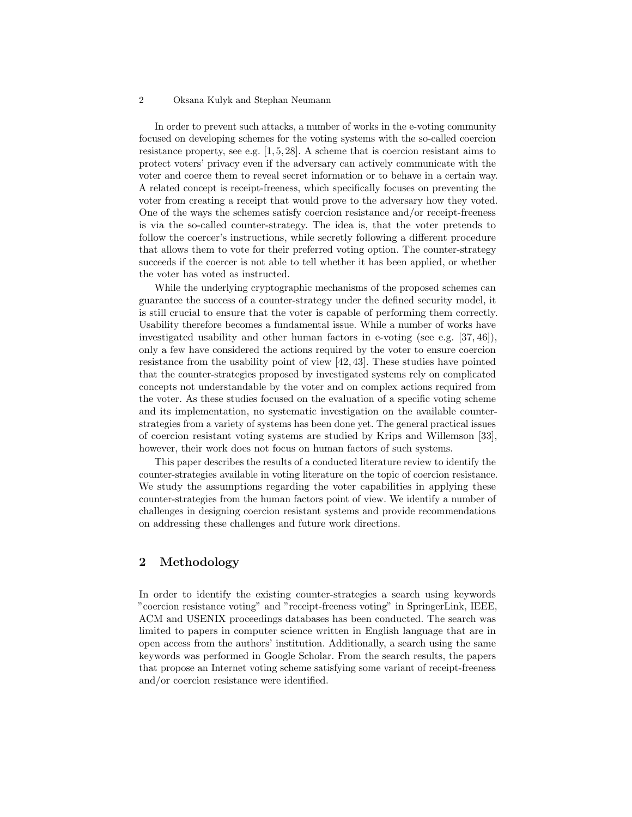In order to prevent such attacks, a number of works in the e-voting community focused on developing schemes for the voting systems with the so-called coercion resistance property, see e.g. [1, 5, 28]. A scheme that is coercion resistant aims to protect voters' privacy even if the adversary can actively communicate with the voter and coerce them to reveal secret information or to behave in a certain way. A related concept is receipt-freeness, which specifically focuses on preventing the voter from creating a receipt that would prove to the adversary how they voted. One of the ways the schemes satisfy coercion resistance and/or receipt-freeness is via the so-called counter-strategy. The idea is, that the voter pretends to follow the coercer's instructions, while secretly following a different procedure that allows them to vote for their preferred voting option. The counter-strategy succeeds if the coercer is not able to tell whether it has been applied, or whether the voter has voted as instructed.

While the underlying cryptographic mechanisms of the proposed schemes can guarantee the success of a counter-strategy under the defined security model, it is still crucial to ensure that the voter is capable of performing them correctly. Usability therefore becomes a fundamental issue. While a number of works have investigated usability and other human factors in e-voting (see e.g. [37, 46]), only a few have considered the actions required by the voter to ensure coercion resistance from the usability point of view [42, 43]. These studies have pointed that the counter-strategies proposed by investigated systems rely on complicated concepts not understandable by the voter and on complex actions required from the voter. As these studies focused on the evaluation of a specific voting scheme and its implementation, no systematic investigation on the available counterstrategies from a variety of systems has been done yet. The general practical issues of coercion resistant voting systems are studied by Krips and Willemson [33], however, their work does not focus on human factors of such systems.

This paper describes the results of a conducted literature review to identify the counter-strategies available in voting literature on the topic of coercion resistance. We study the assumptions regarding the voter capabilities in applying these counter-strategies from the human factors point of view. We identify a number of challenges in designing coercion resistant systems and provide recommendations on addressing these challenges and future work directions.

# 2 Methodology

In order to identify the existing counter-strategies a search using keywords "coercion resistance voting" and "receipt-freeness voting" in SpringerLink, IEEE, ACM and USENIX proceedings databases has been conducted. The search was limited to papers in computer science written in English language that are in open access from the authors' institution. Additionally, a search using the same keywords was performed in Google Scholar. From the search results, the papers that propose an Internet voting scheme satisfying some variant of receipt-freeness and/or coercion resistance were identified.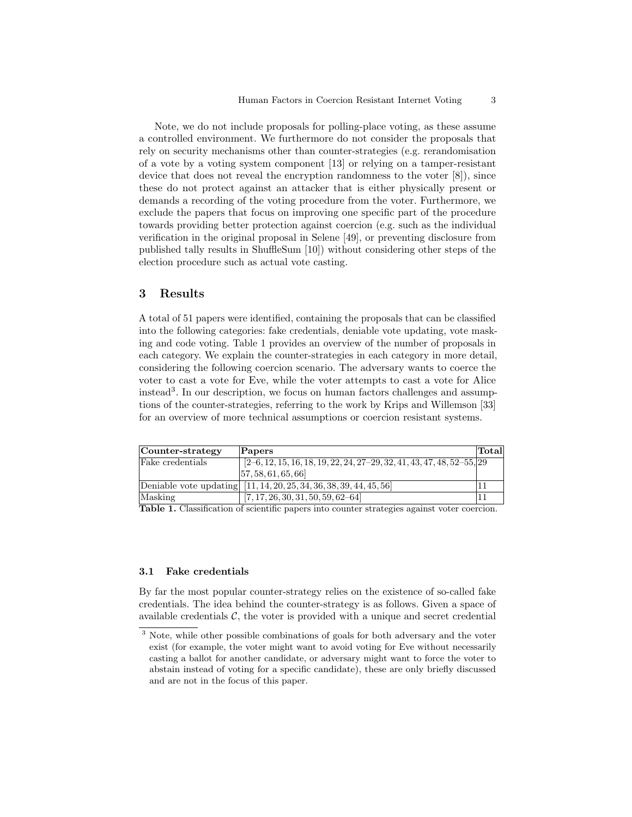Note, we do not include proposals for polling-place voting, as these assume a controlled environment. We furthermore do not consider the proposals that rely on security mechanisms other than counter-strategies (e.g. rerandomisation of a vote by a voting system component [13] or relying on a tamper-resistant device that does not reveal the encryption randomness to the voter [8]), since these do not protect against an attacker that is either physically present or demands a recording of the voting procedure from the voter. Furthermore, we exclude the papers that focus on improving one specific part of the procedure towards providing better protection against coercion (e.g. such as the individual verification in the original proposal in Selene [49], or preventing disclosure from published tally results in ShuffleSum [10]) without considering other steps of the election procedure such as actual vote casting.

## 3 Results

A total of 51 papers were identified, containing the proposals that can be classified into the following categories: fake credentials, deniable vote updating, vote masking and code voting. Table 1 provides an overview of the number of proposals in each category. We explain the counter-strategies in each category in more detail, considering the following coercion scenario. The adversary wants to coerce the voter to cast a vote for Eve, while the voter attempts to cast a vote for Alice instead<sup>3</sup> . In our description, we focus on human factors challenges and assumptions of the counter-strategies, referring to the work by Krips and Willemson [33] for an overview of more technical assumptions or coercion resistant systems.

| Counter-strategy | $\bf$ Papers                                                              | Total |
|------------------|---------------------------------------------------------------------------|-------|
| Fake credentials | $[2-6, 12, 15, 16, 18, 19, 22, 24, 27-29, 32, 41, 43, 47, 48, 52-55, 29]$ |       |
|                  | [57, 58, 61, 65, 66]                                                      |       |
|                  | Deniable vote updating [11, 14, 20, 25, 34, 36, 38, 39, 44, 45, 56]       |       |
| Masking          | [7, 17, 26, 30, 31, 50, 59, 62–64]                                        |       |

Table 1. Classification of scientific papers into counter strategies against voter coercion.

#### 3.1 Fake credentials

By far the most popular counter-strategy relies on the existence of so-called fake credentials. The idea behind the counter-strategy is as follows. Given a space of available credentials  $\mathcal{C}$ , the voter is provided with a unique and secret credential

<sup>&</sup>lt;sup>3</sup> Note, while other possible combinations of goals for both adversary and the voter exist (for example, the voter might want to avoid voting for Eve without necessarily casting a ballot for another candidate, or adversary might want to force the voter to abstain instead of voting for a specific candidate), these are only briefly discussed and are not in the focus of this paper.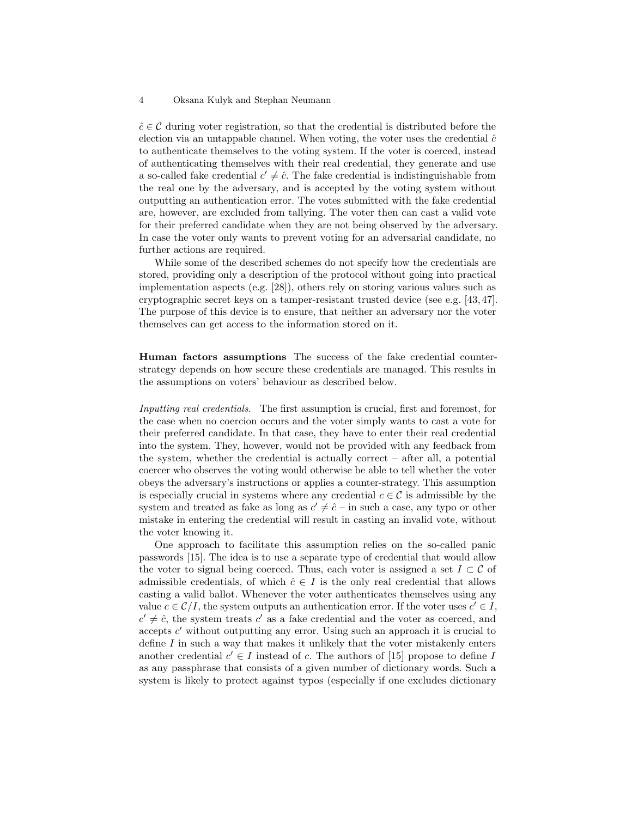$\hat{c} \in \mathcal{C}$  during voter registration, so that the credential is distributed before the election via an untappable channel. When voting, the voter uses the credential  $\hat{c}$ to authenticate themselves to the voting system. If the voter is coerced, instead of authenticating themselves with their real credential, they generate and use a so-called fake credential  $c' \neq \hat{c}$ . The fake credential is indistinguishable from the real one by the adversary, and is accepted by the voting system without outputting an authentication error. The votes submitted with the fake credential are, however, are excluded from tallying. The voter then can cast a valid vote for their preferred candidate when they are not being observed by the adversary. In case the voter only wants to prevent voting for an adversarial candidate, no further actions are required.

While some of the described schemes do not specify how the credentials are stored, providing only a description of the protocol without going into practical implementation aspects (e.g. [28]), others rely on storing various values such as cryptographic secret keys on a tamper-resistant trusted device (see e.g. [43, 47]. The purpose of this device is to ensure, that neither an adversary nor the voter themselves can get access to the information stored on it.

Human factors assumptions The success of the fake credential counterstrategy depends on how secure these credentials are managed. This results in the assumptions on voters' behaviour as described below.

Inputting real credentials. The first assumption is crucial, first and foremost, for the case when no coercion occurs and the voter simply wants to cast a vote for their preferred candidate. In that case, they have to enter their real credential into the system. They, however, would not be provided with any feedback from the system, whether the credential is actually correct – after all, a potential coercer who observes the voting would otherwise be able to tell whether the voter obeys the adversary's instructions or applies a counter-strategy. This assumption is especially crucial in systems where any credential  $c \in \mathcal{C}$  is admissible by the system and treated as fake as long as  $c' \neq \hat{c}$  – in such a case, any typo or other mistake in entering the credential will result in casting an invalid vote, without the voter knowing it.

One approach to facilitate this assumption relies on the so-called panic passwords [15]. The idea is to use a separate type of credential that would allow the voter to signal being coerced. Thus, each voter is assigned a set  $I \subset \mathcal{C}$  of admissible credentials, of which  $\hat{c} \in I$  is the only real credential that allows casting a valid ballot. Whenever the voter authenticates themselves using any value  $c \in \mathcal{C}/I$ , the system outputs an authentication error. If the voter uses  $c' \in I$ ,  $c' \neq \hat{c}$ , the system treats  $c'$  as a fake credential and the voter as coerced, and accepts  $c'$  without outputting any error. Using such an approach it is crucial to define  $I$  in such a way that makes it unlikely that the voter mistakenly enters another credential  $c' \in I$  instead of c. The authors of [15] propose to define I as any passphrase that consists of a given number of dictionary words. Such a system is likely to protect against typos (especially if one excludes dictionary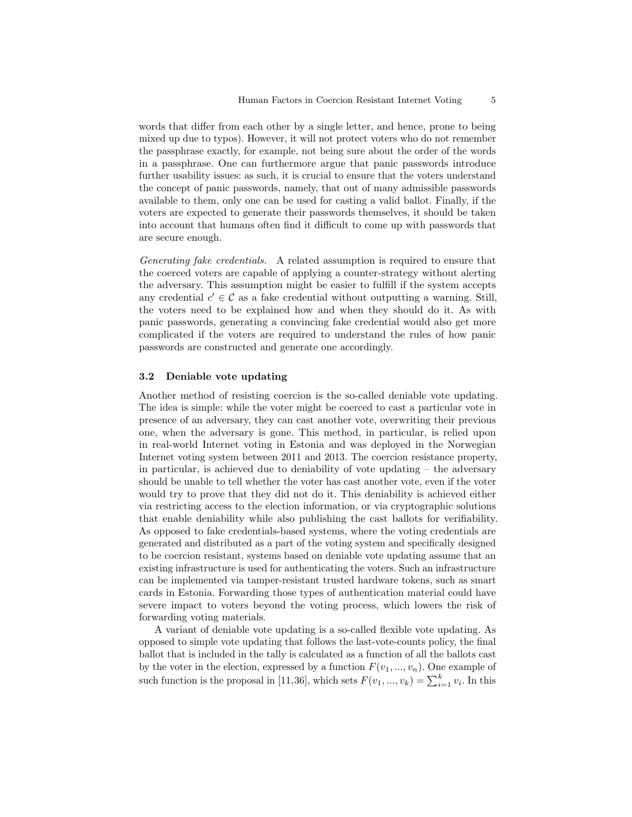words that differ from each other by a single letter, and hence, prone to being mixed up due to typos). However, it will not protect voters who do not remember the passphrase exactly, for example, not being sure about the order of the words in a passphrase. One can furthermore argue that panic passwords introduce further usability issues: as such, it is crucial to ensure that the voters understand the concept of panic passwords, namely, that out of many admissible passwords available to them, only one can be used for casting a valid ballot. Finally, if the voters are expected to generate their passwords themselves, it should be taken into account that humans often find it difficult to come up with passwords that are secure enough.

Generating fake credentials. A related assumption is required to ensure that the coerced voters are capable of applying a counter-strategy without alerting the adversary. This assumption might be easier to fulfill if the system accepts any credential  $c' \in \mathcal{C}$  as a fake credential without outputting a warning. Still, the voters need to be explained how and when they should do it. As with panic passwords, generating a convincing fake credential would also get more complicated if the voters are required to understand the rules of how panic passwords are constructed and generate one accordingly.

## 3.2 Deniable vote updating

Another method of resisting coercion is the so-called deniable vote updating. The idea is simple: while the voter might be coerced to cast a particular vote in presence of an adversary, they can cast another vote, overwriting their previous one, when the adversary is gone. This method, in particular, is relied upon in real-world Internet voting in Estonia and was deployed in the Norwegian Internet voting system between 2011 and 2013. The coercion resistance property, in particular, is achieved due to deniability of vote updating – the adversary should be unable to tell whether the voter has cast another vote, even if the voter would try to prove that they did not do it. This deniability is achieved either via restricting access to the election information, or via cryptographic solutions that enable deniability while also publishing the cast ballots for verifiability. As opposed to fake credentials-based systems, where the voting credentials are generated and distributed as a part of the voting system and specifically designed to be coercion resistant, systems based on deniable vote updating assume that an existing infrastructure is used for authenticating the voters. Such an infrastructure can be implemented via tamper-resistant trusted hardware tokens, such as smart cards in Estonia. Forwarding those types of authentication material could have severe impact to voters beyond the voting process, which lowers the risk of forwarding voting materials.

A variant of deniable vote updating is a so-called flexible vote updating. As opposed to simple vote updating that follows the last-vote-counts policy, the final ballot that is included in the tally is calculated as a function of all the ballots cast by the voter in the election, expressed by a function  $F(v_1, ..., v_n)$ . One example of such function is the proposal in [11,36], which sets  $F(v_1, ..., v_k) = \sum_{i=1}^k v_i$ . In this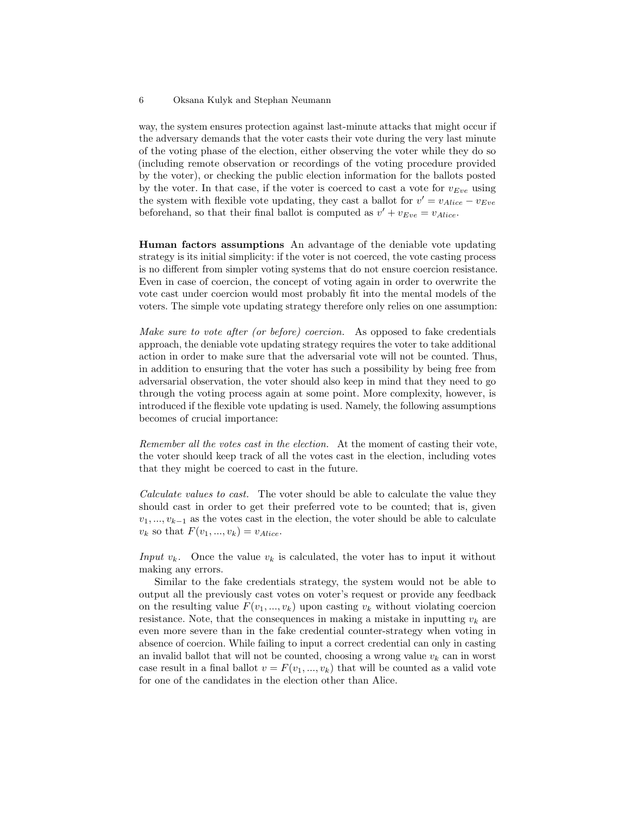way, the system ensures protection against last-minute attacks that might occur if the adversary demands that the voter casts their vote during the very last minute of the voting phase of the election, either observing the voter while they do so (including remote observation or recordings of the voting procedure provided by the voter), or checking the public election information for the ballots posted by the voter. In that case, if the voter is coerced to cast a vote for  $v_{Eve}$  using the system with flexible vote updating, they cast a ballot for  $v' = v_{Alice} - v_{Eve}$ beforehand, so that their final ballot is computed as  $v' + v_{Eve} = v_{Alice}$ .

Human factors assumptions An advantage of the deniable vote updating strategy is its initial simplicity: if the voter is not coerced, the vote casting process is no different from simpler voting systems that do not ensure coercion resistance. Even in case of coercion, the concept of voting again in order to overwrite the vote cast under coercion would most probably fit into the mental models of the voters. The simple vote updating strategy therefore only relies on one assumption:

Make sure to vote after (or before) coercion. As opposed to fake credentials approach, the deniable vote updating strategy requires the voter to take additional action in order to make sure that the adversarial vote will not be counted. Thus, in addition to ensuring that the voter has such a possibility by being free from adversarial observation, the voter should also keep in mind that they need to go through the voting process again at some point. More complexity, however, is introduced if the flexible vote updating is used. Namely, the following assumptions becomes of crucial importance:

Remember all the votes cast in the election. At the moment of casting their vote, the voter should keep track of all the votes cast in the election, including votes that they might be coerced to cast in the future.

Calculate values to cast. The voter should be able to calculate the value they should cast in order to get their preferred vote to be counted; that is, given  $v_1, \ldots, v_{k-1}$  as the votes cast in the election, the voter should be able to calculate  $v_k$  so that  $F(v_1, ..., v_k) = v_{Alice}$ .

Input  $v_k$ . Once the value  $v_k$  is calculated, the voter has to input it without making any errors.

Similar to the fake credentials strategy, the system would not be able to output all the previously cast votes on voter's request or provide any feedback on the resulting value  $F(v_1, ..., v_k)$  upon casting  $v_k$  without violating coercion resistance. Note, that the consequences in making a mistake in inputting  $v_k$  are even more severe than in the fake credential counter-strategy when voting in absence of coercion. While failing to input a correct credential can only in casting an invalid ballot that will not be counted, choosing a wrong value  $v_k$  can in worst case result in a final ballot  $v = F(v_1, ..., v_k)$  that will be counted as a valid vote for one of the candidates in the election other than Alice.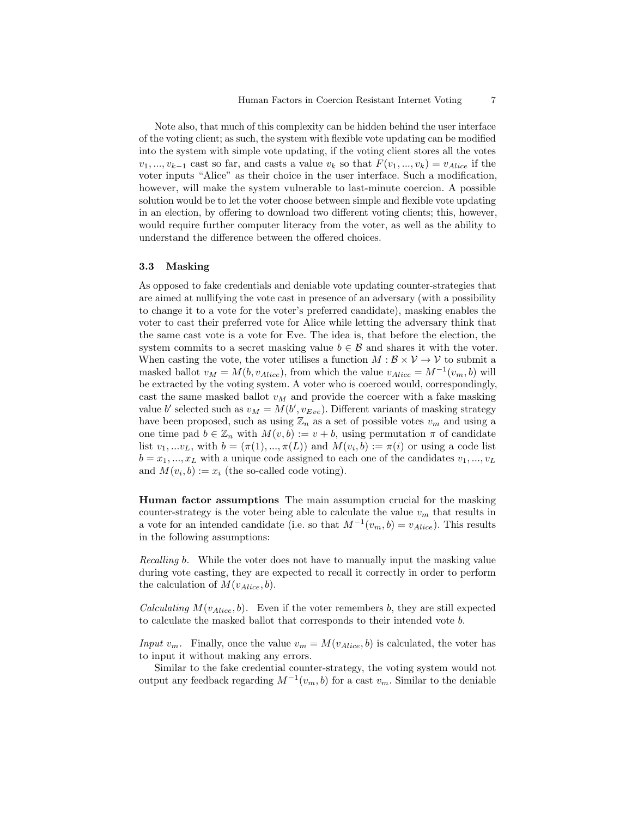Note also, that much of this complexity can be hidden behind the user interface of the voting client; as such, the system with flexible vote updating can be modified into the system with simple vote updating, if the voting client stores all the votes  $v_1, ..., v_{k-1}$  cast so far, and casts a value  $v_k$  so that  $F(v_1, ..., v_k) = v_{Alice}$  if the voter inputs "Alice" as their choice in the user interface. Such a modification, however, will make the system vulnerable to last-minute coercion. A possible solution would be to let the voter choose between simple and flexible vote updating in an election, by offering to download two different voting clients; this, however, would require further computer literacy from the voter, as well as the ability to understand the difference between the offered choices.

#### 3.3 Masking

As opposed to fake credentials and deniable vote updating counter-strategies that are aimed at nullifying the vote cast in presence of an adversary (with a possibility to change it to a vote for the voter's preferred candidate), masking enables the voter to cast their preferred vote for Alice while letting the adversary think that the same cast vote is a vote for Eve. The idea is, that before the election, the system commits to a secret masking value  $b \in \mathcal{B}$  and shares it with the voter. When casting the vote, the voter utilises a function  $M : \mathcal{B} \times \mathcal{V} \to \mathcal{V}$  to submit a masked ballot  $v_M = M(b, v_{Alice})$ , from which the value  $v_{Alice} = M^{-1}(v_m, b)$  will be extracted by the voting system. A voter who is coerced would, correspondingly, cast the same masked ballot  $v_M$  and provide the coercer with a fake masking value b' selected such as  $v_M = M(b', v_{Eve})$ . Different variants of masking strategy have been proposed, such as using  $\mathbb{Z}_n$  as a set of possible votes  $v_m$  and using a one time pad  $b \in \mathbb{Z}_n$  with  $M(v, b) := v + b$ , using permutation  $\pi$  of candidate list  $v_1,...v_L$ , with  $b = (\pi(1),...,\pi(L))$  and  $M(v_i,b) := \pi(i)$  or using a code list  $b = x_1, ..., x_L$  with a unique code assigned to each one of the candidates  $v_1, ..., v_L$ and  $M(v_i, b) := x_i$  (the so-called code voting).

Human factor assumptions The main assumption crucial for the masking counter-strategy is the voter being able to calculate the value  $v_m$  that results in a vote for an intended candidate (i.e. so that  $M^{-1}(v_m, b) = v_{Alice}$ ). This results in the following assumptions:

Recalling b. While the voter does not have to manually input the masking value during vote casting, they are expected to recall it correctly in order to perform the calculation of  $M(v_{Alice}, b)$ .

*Calculating*  $M(v_{Alice}, b)$ . Even if the voter remembers b, they are still expected to calculate the masked ballot that corresponds to their intended vote b.

Input  $v_m$ . Finally, once the value  $v_m = M(v_{Alice}, b)$  is calculated, the voter has to input it without making any errors.

Similar to the fake credential counter-strategy, the voting system would not output any feedback regarding  $M^{-1}(v_m, b)$  for a cast  $v_m$ . Similar to the deniable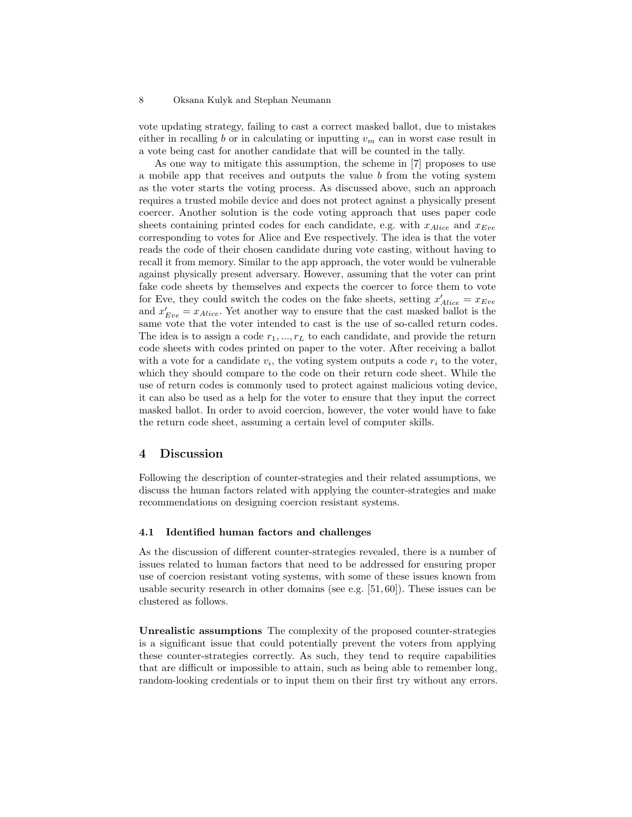vote updating strategy, failing to cast a correct masked ballot, due to mistakes either in recalling b or in calculating or inputting  $v_m$  can in worst case result in a vote being cast for another candidate that will be counted in the tally.

As one way to mitigate this assumption, the scheme in [7] proposes to use a mobile app that receives and outputs the value b from the voting system as the voter starts the voting process. As discussed above, such an approach requires a trusted mobile device and does not protect against a physically present coercer. Another solution is the code voting approach that uses paper code sheets containing printed codes for each candidate, e.g. with  $x_{Alice}$  and  $x_{Eve}$ corresponding to votes for Alice and Eve respectively. The idea is that the voter reads the code of their chosen candidate during vote casting, without having to recall it from memory. Similar to the app approach, the voter would be vulnerable against physically present adversary. However, assuming that the voter can print fake code sheets by themselves and expects the coercer to force them to vote for Eve, they could switch the codes on the fake sheets, setting  $x'_{Alice} = x_{Eve}$ and  $x'_{Eve} = x_{Alice}$ . Yet another way to ensure that the cast masked ballot is the same vote that the voter intended to cast is the use of so-called return codes. The idea is to assign a code  $r_1, ..., r_L$  to each candidate, and provide the return code sheets with codes printed on paper to the voter. After receiving a ballot with a vote for a candidate  $v_i$ , the voting system outputs a code  $r_i$  to the voter, which they should compare to the code on their return code sheet. While the use of return codes is commonly used to protect against malicious voting device, it can also be used as a help for the voter to ensure that they input the correct masked ballot. In order to avoid coercion, however, the voter would have to fake the return code sheet, assuming a certain level of computer skills.

## 4 Discussion

Following the description of counter-strategies and their related assumptions, we discuss the human factors related with applying the counter-strategies and make recommendations on designing coercion resistant systems.

## 4.1 Identified human factors and challenges

As the discussion of different counter-strategies revealed, there is a number of issues related to human factors that need to be addressed for ensuring proper use of coercion resistant voting systems, with some of these issues known from usable security research in other domains (see e.g. [51, 60]). These issues can be clustered as follows.

Unrealistic assumptions The complexity of the proposed counter-strategies is a significant issue that could potentially prevent the voters from applying these counter-strategies correctly. As such, they tend to require capabilities that are difficult or impossible to attain, such as being able to remember long, random-looking credentials or to input them on their first try without any errors.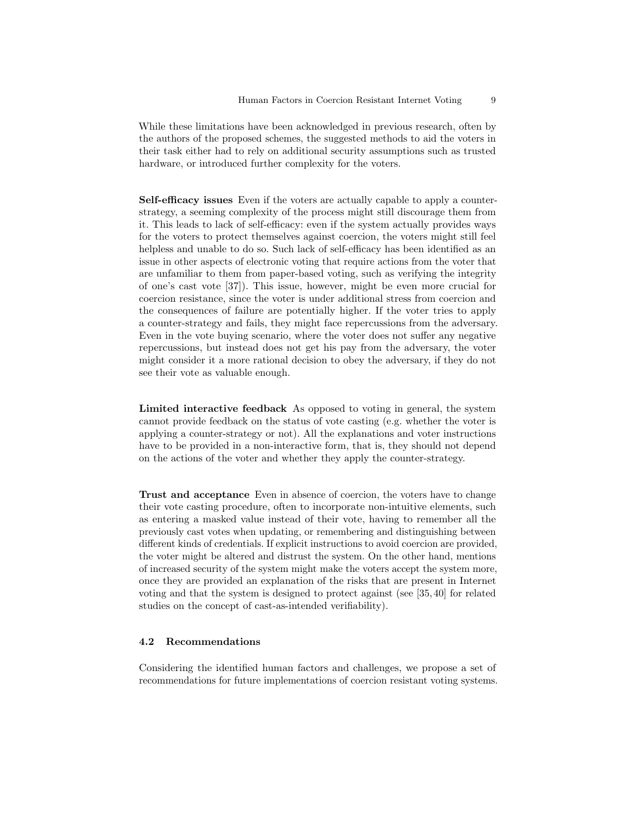While these limitations have been acknowledged in previous research, often by the authors of the proposed schemes, the suggested methods to aid the voters in their task either had to rely on additional security assumptions such as trusted hardware, or introduced further complexity for the voters.

Self-efficacy issues Even if the voters are actually capable to apply a counterstrategy, a seeming complexity of the process might still discourage them from it. This leads to lack of self-efficacy: even if the system actually provides ways for the voters to protect themselves against coercion, the voters might still feel helpless and unable to do so. Such lack of self-efficacy has been identified as an issue in other aspects of electronic voting that require actions from the voter that are unfamiliar to them from paper-based voting, such as verifying the integrity of one's cast vote [37]). This issue, however, might be even more crucial for coercion resistance, since the voter is under additional stress from coercion and the consequences of failure are potentially higher. If the voter tries to apply a counter-strategy and fails, they might face repercussions from the adversary. Even in the vote buying scenario, where the voter does not suffer any negative repercussions, but instead does not get his pay from the adversary, the voter might consider it a more rational decision to obey the adversary, if they do not see their vote as valuable enough.

Limited interactive feedback As opposed to voting in general, the system cannot provide feedback on the status of vote casting (e.g. whether the voter is applying a counter-strategy or not). All the explanations and voter instructions have to be provided in a non-interactive form, that is, they should not depend on the actions of the voter and whether they apply the counter-strategy.

Trust and acceptance Even in absence of coercion, the voters have to change their vote casting procedure, often to incorporate non-intuitive elements, such as entering a masked value instead of their vote, having to remember all the previously cast votes when updating, or remembering and distinguishing between different kinds of credentials. If explicit instructions to avoid coercion are provided, the voter might be altered and distrust the system. On the other hand, mentions of increased security of the system might make the voters accept the system more, once they are provided an explanation of the risks that are present in Internet voting and that the system is designed to protect against (see [35, 40] for related studies on the concept of cast-as-intended verifiability).

## 4.2 Recommendations

Considering the identified human factors and challenges, we propose a set of recommendations for future implementations of coercion resistant voting systems.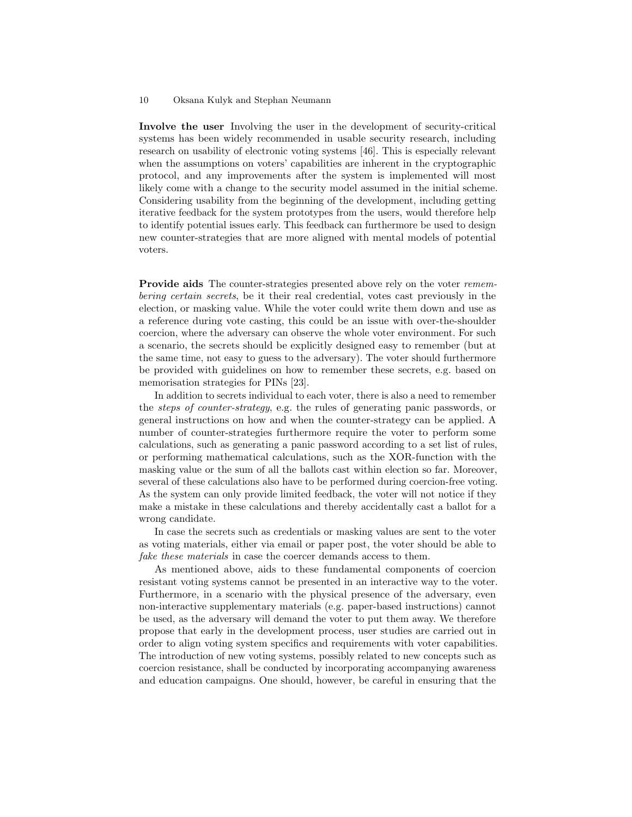Involve the user Involving the user in the development of security-critical systems has been widely recommended in usable security research, including research on usability of electronic voting systems [46]. This is especially relevant when the assumptions on voters' capabilities are inherent in the cryptographic protocol, and any improvements after the system is implemented will most likely come with a change to the security model assumed in the initial scheme. Considering usability from the beginning of the development, including getting iterative feedback for the system prototypes from the users, would therefore help to identify potential issues early. This feedback can furthermore be used to design new counter-strategies that are more aligned with mental models of potential voters.

Provide aids The counter-strategies presented above rely on the voter remembering certain secrets, be it their real credential, votes cast previously in the election, or masking value. While the voter could write them down and use as a reference during vote casting, this could be an issue with over-the-shoulder coercion, where the adversary can observe the whole voter environment. For such a scenario, the secrets should be explicitly designed easy to remember (but at the same time, not easy to guess to the adversary). The voter should furthermore be provided with guidelines on how to remember these secrets, e.g. based on memorisation strategies for PINs [23].

In addition to secrets individual to each voter, there is also a need to remember the steps of counter-strategy, e.g. the rules of generating panic passwords, or general instructions on how and when the counter-strategy can be applied. A number of counter-strategies furthermore require the voter to perform some calculations, such as generating a panic password according to a set list of rules, or performing mathematical calculations, such as the XOR-function with the masking value or the sum of all the ballots cast within election so far. Moreover, several of these calculations also have to be performed during coercion-free voting. As the system can only provide limited feedback, the voter will not notice if they make a mistake in these calculations and thereby accidentally cast a ballot for a wrong candidate.

In case the secrets such as credentials or masking values are sent to the voter as voting materials, either via email or paper post, the voter should be able to fake these materials in case the coercer demands access to them.

As mentioned above, aids to these fundamental components of coercion resistant voting systems cannot be presented in an interactive way to the voter. Furthermore, in a scenario with the physical presence of the adversary, even non-interactive supplementary materials (e.g. paper-based instructions) cannot be used, as the adversary will demand the voter to put them away. We therefore propose that early in the development process, user studies are carried out in order to align voting system specifics and requirements with voter capabilities. The introduction of new voting systems, possibly related to new concepts such as coercion resistance, shall be conducted by incorporating accompanying awareness and education campaigns. One should, however, be careful in ensuring that the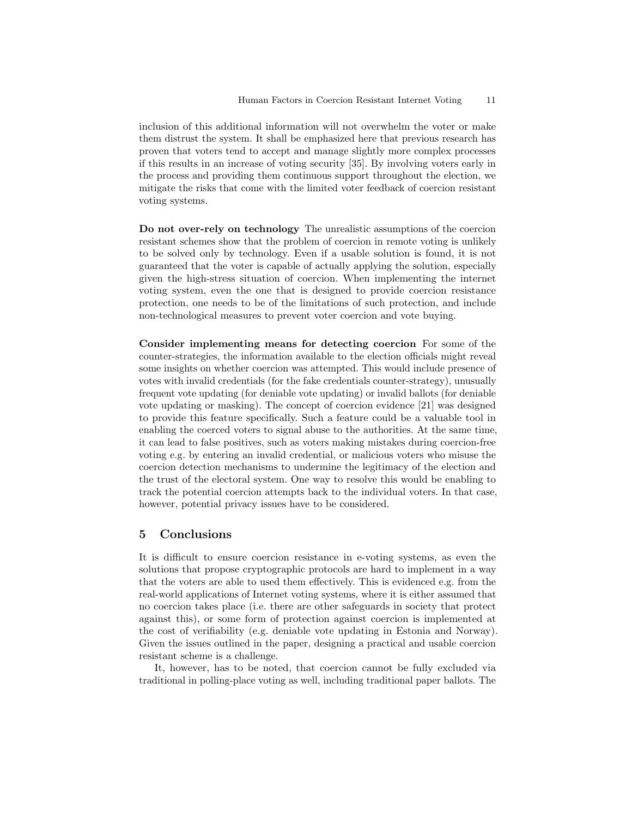inclusion of this additional information will not overwhelm the voter or make them distrust the system. It shall be emphasized here that previous research has proven that voters tend to accept and manage slightly more complex processes if this results in an increase of voting security [35]. By involving voters early in the process and providing them continuous support throughout the election, we mitigate the risks that come with the limited voter feedback of coercion resistant voting systems.

Do not over-rely on technology The unrealistic assumptions of the coercion resistant schemes show that the problem of coercion in remote voting is unlikely to be solved only by technology. Even if a usable solution is found, it is not guaranteed that the voter is capable of actually applying the solution, especially given the high-stress situation of coercion. When implementing the internet voting system, even the one that is designed to provide coercion resistance protection, one needs to be of the limitations of such protection, and include non-technological measures to prevent voter coercion and vote buying.

Consider implementing means for detecting coercion For some of the counter-strategies, the information available to the election officials might reveal some insights on whether coercion was attempted. This would include presence of votes with invalid credentials (for the fake credentials counter-strategy), unusually frequent vote updating (for deniable vote updating) or invalid ballots (for deniable vote updating or masking). The concept of coercion evidence [21] was designed to provide this feature specifically. Such a feature could be a valuable tool in enabling the coerced voters to signal abuse to the authorities. At the same time, it can lead to false positives, such as voters making mistakes during coercion-free voting e.g. by entering an invalid credential, or malicious voters who misuse the coercion detection mechanisms to undermine the legitimacy of the election and the trust of the electoral system. One way to resolve this would be enabling to track the potential coercion attempts back to the individual voters. In that case, however, potential privacy issues have to be considered.

## 5 Conclusions

It is difficult to ensure coercion resistance in e-voting systems, as even the solutions that propose cryptographic protocols are hard to implement in a way that the voters are able to used them effectively. This is evidenced e.g. from the real-world applications of Internet voting systems, where it is either assumed that no coercion takes place (i.e. there are other safeguards in society that protect against this), or some form of protection against coercion is implemented at the cost of verifiability (e.g. deniable vote updating in Estonia and Norway). Given the issues outlined in the paper, designing a practical and usable coercion resistant scheme is a challenge.

It, however, has to be noted, that coercion cannot be fully excluded via traditional in polling-place voting as well, including traditional paper ballots. The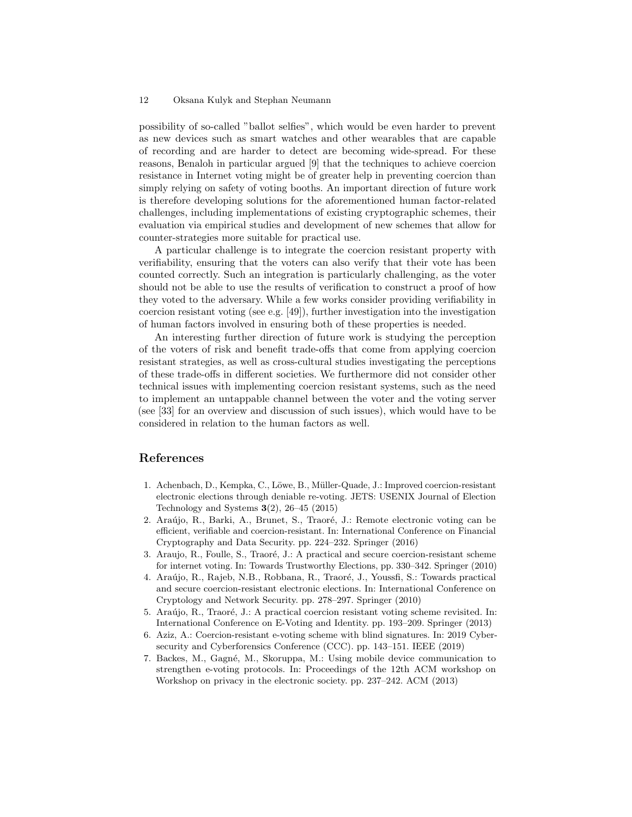possibility of so-called "ballot selfies", which would be even harder to prevent as new devices such as smart watches and other wearables that are capable of recording and are harder to detect are becoming wide-spread. For these reasons, Benaloh in particular argued [9] that the techniques to achieve coercion resistance in Internet voting might be of greater help in preventing coercion than simply relying on safety of voting booths. An important direction of future work is therefore developing solutions for the aforementioned human factor-related challenges, including implementations of existing cryptographic schemes, their evaluation via empirical studies and development of new schemes that allow for counter-strategies more suitable for practical use.

A particular challenge is to integrate the coercion resistant property with verifiability, ensuring that the voters can also verify that their vote has been counted correctly. Such an integration is particularly challenging, as the voter should not be able to use the results of verification to construct a proof of how they voted to the adversary. While a few works consider providing verifiability in coercion resistant voting (see e.g. [49]), further investigation into the investigation of human factors involved in ensuring both of these properties is needed.

An interesting further direction of future work is studying the perception of the voters of risk and benefit trade-offs that come from applying coercion resistant strategies, as well as cross-cultural studies investigating the perceptions of these trade-offs in different societies. We furthermore did not consider other technical issues with implementing coercion resistant systems, such as the need to implement an untappable channel between the voter and the voting server (see [33] for an overview and discussion of such issues), which would have to be considered in relation to the human factors as well.

# References

- 1. Achenbach, D., Kempka, C., Löwe, B., Müller-Quade, J.: Improved coercion-resistant electronic elections through deniable re-voting. JETS: USENIX Journal of Election Technology and Systems  $3(2)$ , 26–45 (2015)
- 2. Araújo, R., Barki, A., Brunet, S., Traoré, J.: Remote electronic voting can be efficient, verifiable and coercion-resistant. In: International Conference on Financial Cryptography and Data Security. pp. 224–232. Springer (2016)
- 3. Araujo, R., Foulle, S., Traoré, J.: A practical and secure coercion-resistant scheme for internet voting. In: Towards Trustworthy Elections, pp. 330–342. Springer (2010)
- 4. Araújo, R., Rajeb, N.B., Robbana, R., Traoré, J., Youssfi, S.: Towards practical and secure coercion-resistant electronic elections. In: International Conference on Cryptology and Network Security. pp. 278–297. Springer (2010)
- 5. Araújo, R., Traoré, J.: A practical coercion resistant voting scheme revisited. In: International Conference on E-Voting and Identity. pp. 193–209. Springer (2013)
- 6. Aziz, A.: Coercion-resistant e-voting scheme with blind signatures. In: 2019 Cybersecurity and Cyberforensics Conference (CCC). pp. 143–151. IEEE (2019)
- 7. Backes, M., Gagné, M., Skoruppa, M.: Using mobile device communication to strengthen e-voting protocols. In: Proceedings of the 12th ACM workshop on Workshop on privacy in the electronic society. pp. 237–242. ACM (2013)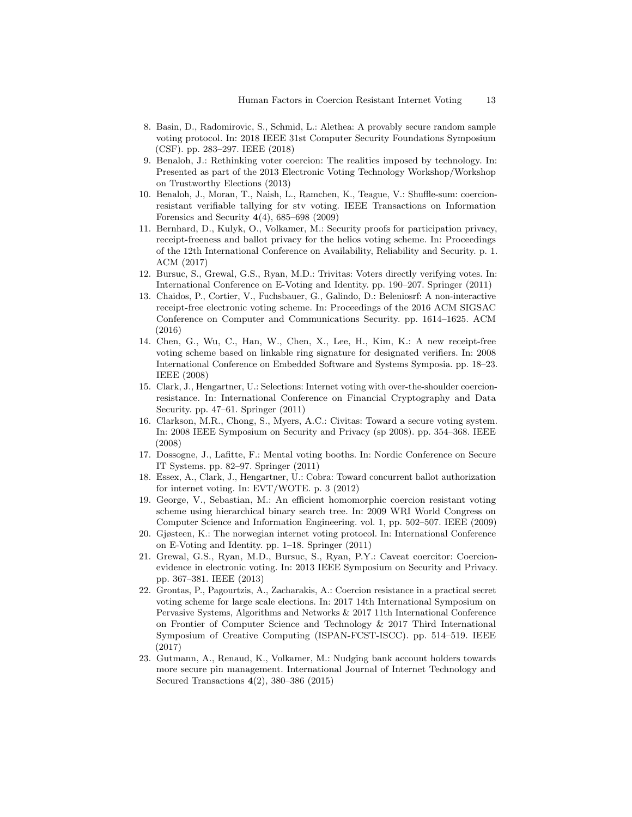- 8. Basin, D., Radomirovic, S., Schmid, L.: Alethea: A provably secure random sample voting protocol. In: 2018 IEEE 31st Computer Security Foundations Symposium (CSF). pp. 283–297. IEEE (2018)
- 9. Benaloh, J.: Rethinking voter coercion: The realities imposed by technology. In: Presented as part of the 2013 Electronic Voting Technology Workshop/Workshop on Trustworthy Elections (2013)
- 10. Benaloh, J., Moran, T., Naish, L., Ramchen, K., Teague, V.: Shuffle-sum: coercionresistant verifiable tallying for stv voting. IEEE Transactions on Information Forensics and Security  $4(4)$ , 685–698 (2009)
- 11. Bernhard, D., Kulyk, O., Volkamer, M.: Security proofs for participation privacy, receipt-freeness and ballot privacy for the helios voting scheme. In: Proceedings of the 12th International Conference on Availability, Reliability and Security. p. 1. ACM (2017)
- 12. Bursuc, S., Grewal, G.S., Ryan, M.D.: Trivitas: Voters directly verifying votes. In: International Conference on E-Voting and Identity. pp. 190–207. Springer (2011)
- 13. Chaidos, P., Cortier, V., Fuchsbauer, G., Galindo, D.: Beleniosrf: A non-interactive receipt-free electronic voting scheme. In: Proceedings of the 2016 ACM SIGSAC Conference on Computer and Communications Security. pp. 1614–1625. ACM (2016)
- 14. Chen, G., Wu, C., Han, W., Chen, X., Lee, H., Kim, K.: A new receipt-free voting scheme based on linkable ring signature for designated verifiers. In: 2008 International Conference on Embedded Software and Systems Symposia. pp. 18–23. IEEE (2008)
- 15. Clark, J., Hengartner, U.: Selections: Internet voting with over-the-shoulder coercionresistance. In: International Conference on Financial Cryptography and Data Security. pp. 47–61. Springer (2011)
- 16. Clarkson, M.R., Chong, S., Myers, A.C.: Civitas: Toward a secure voting system. In: 2008 IEEE Symposium on Security and Privacy (sp 2008). pp. 354–368. IEEE (2008)
- 17. Dossogne, J., Lafitte, F.: Mental voting booths. In: Nordic Conference on Secure IT Systems. pp. 82–97. Springer (2011)
- 18. Essex, A., Clark, J., Hengartner, U.: Cobra: Toward concurrent ballot authorization for internet voting. In: EVT/WOTE. p. 3 (2012)
- 19. George, V., Sebastian, M.: An efficient homomorphic coercion resistant voting scheme using hierarchical binary search tree. In: 2009 WRI World Congress on Computer Science and Information Engineering. vol. 1, pp. 502–507. IEEE (2009)
- 20. Gjøsteen, K.: The norwegian internet voting protocol. In: International Conference on E-Voting and Identity. pp. 1–18. Springer (2011)
- 21. Grewal, G.S., Ryan, M.D., Bursuc, S., Ryan, P.Y.: Caveat coercitor: Coercionevidence in electronic voting. In: 2013 IEEE Symposium on Security and Privacy. pp. 367–381. IEEE (2013)
- 22. Grontas, P., Pagourtzis, A., Zacharakis, A.: Coercion resistance in a practical secret voting scheme for large scale elections. In: 2017 14th International Symposium on Pervasive Systems, Algorithms and Networks & 2017 11th International Conference on Frontier of Computer Science and Technology & 2017 Third International Symposium of Creative Computing (ISPAN-FCST-ISCC). pp. 514–519. IEEE (2017)
- 23. Gutmann, A., Renaud, K., Volkamer, M.: Nudging bank account holders towards more secure pin management. International Journal of Internet Technology and Secured Transactions 4(2), 380–386 (2015)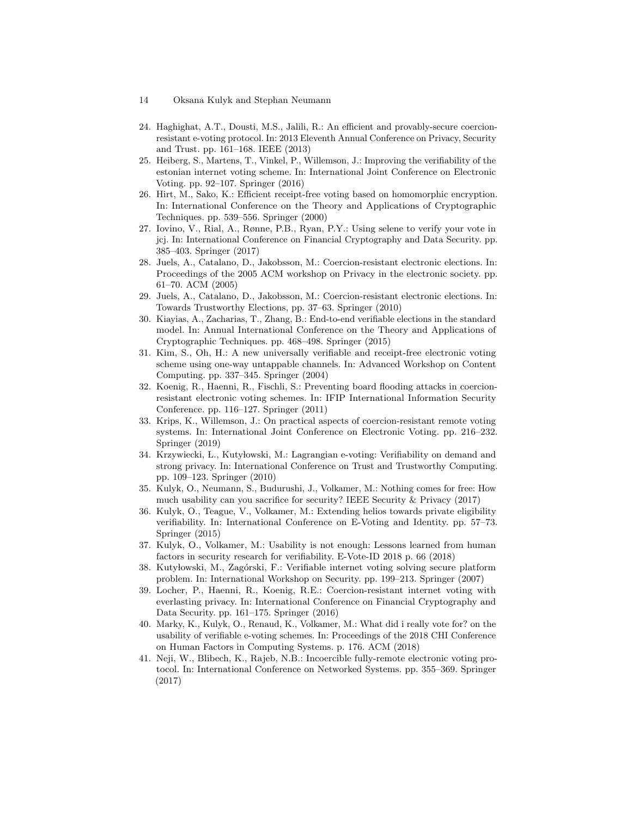- 14 Oksana Kulyk and Stephan Neumann
- 24. Haghighat, A.T., Dousti, M.S., Jalili, R.: An efficient and provably-secure coercionresistant e-voting protocol. In: 2013 Eleventh Annual Conference on Privacy, Security and Trust. pp. 161–168. IEEE (2013)
- 25. Heiberg, S., Martens, T., Vinkel, P., Willemson, J.: Improving the verifiability of the estonian internet voting scheme. In: International Joint Conference on Electronic Voting. pp. 92–107. Springer (2016)
- 26. Hirt, M., Sako, K.: Efficient receipt-free voting based on homomorphic encryption. In: International Conference on the Theory and Applications of Cryptographic Techniques. pp. 539–556. Springer (2000)
- 27. Iovino, V., Rial, A., Rønne, P.B., Ryan, P.Y.: Using selene to verify your vote in jcj. In: International Conference on Financial Cryptography and Data Security. pp. 385–403. Springer (2017)
- 28. Juels, A., Catalano, D., Jakobsson, M.: Coercion-resistant electronic elections. In: Proceedings of the 2005 ACM workshop on Privacy in the electronic society. pp. 61–70. ACM (2005)
- 29. Juels, A., Catalano, D., Jakobsson, M.: Coercion-resistant electronic elections. In: Towards Trustworthy Elections, pp. 37–63. Springer (2010)
- 30. Kiayias, A., Zacharias, T., Zhang, B.: End-to-end verifiable elections in the standard model. In: Annual International Conference on the Theory and Applications of Cryptographic Techniques. pp. 468–498. Springer (2015)
- 31. Kim, S., Oh, H.: A new universally verifiable and receipt-free electronic voting scheme using one-way untappable channels. In: Advanced Workshop on Content Computing. pp. 337–345. Springer (2004)
- 32. Koenig, R., Haenni, R., Fischli, S.: Preventing board flooding attacks in coercionresistant electronic voting schemes. In: IFIP International Information Security Conference. pp. 116–127. Springer (2011)
- 33. Krips, K., Willemson, J.: On practical aspects of coercion-resistant remote voting systems. In: International Joint Conference on Electronic Voting. pp. 216–232. Springer (2019)
- 34. Krzywiecki, L., Kutylowski, M.: Lagrangian e-voting: Verifiability on demand and strong privacy. In: International Conference on Trust and Trustworthy Computing. pp. 109–123. Springer (2010)
- 35. Kulyk, O., Neumann, S., Budurushi, J., Volkamer, M.: Nothing comes for free: How much usability can you sacrifice for security? IEEE Security & Privacy (2017)
- 36. Kulyk, O., Teague, V., Volkamer, M.: Extending helios towards private eligibility verifiability. In: International Conference on E-Voting and Identity. pp. 57–73. Springer (2015)
- 37. Kulyk, O., Volkamer, M.: Usability is not enough: Lessons learned from human factors in security research for verifiability. E-Vote-ID 2018 p. 66 (2018)
- 38. Kutyłowski, M., Zagórski, F.: Verifiable internet voting solving secure platform problem. In: International Workshop on Security. pp. 199–213. Springer (2007)
- 39. Locher, P., Haenni, R., Koenig, R.E.: Coercion-resistant internet voting with everlasting privacy. In: International Conference on Financial Cryptography and Data Security. pp. 161–175. Springer (2016)
- 40. Marky, K., Kulyk, O., Renaud, K., Volkamer, M.: What did i really vote for? on the usability of verifiable e-voting schemes. In: Proceedings of the 2018 CHI Conference on Human Factors in Computing Systems. p. 176. ACM (2018)
- 41. Neji, W., Blibech, K., Rajeb, N.B.: Incoercible fully-remote electronic voting protocol. In: International Conference on Networked Systems. pp. 355–369. Springer (2017)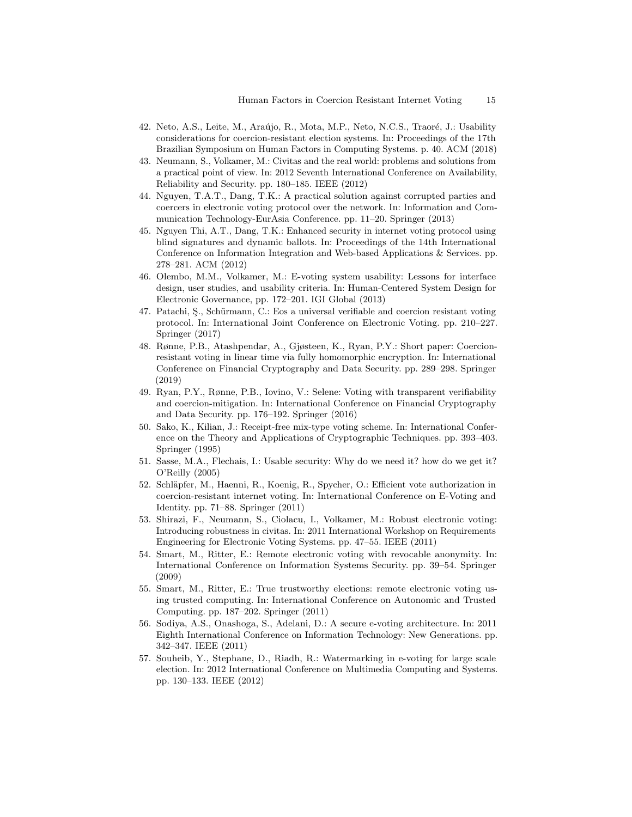- 42. Neto, A.S., Leite, M., Araújo, R., Mota, M.P., Neto, N.C.S., Traoré, J.: Usability considerations for coercion-resistant election systems. In: Proceedings of the 17th Brazilian Symposium on Human Factors in Computing Systems. p. 40. ACM (2018)
- 43. Neumann, S., Volkamer, M.: Civitas and the real world: problems and solutions from a practical point of view. In: 2012 Seventh International Conference on Availability, Reliability and Security. pp. 180–185. IEEE (2012)
- 44. Nguyen, T.A.T., Dang, T.K.: A practical solution against corrupted parties and coercers in electronic voting protocol over the network. In: Information and Communication Technology-EurAsia Conference. pp. 11–20. Springer (2013)
- 45. Nguyen Thi, A.T., Dang, T.K.: Enhanced security in internet voting protocol using blind signatures and dynamic ballots. In: Proceedings of the 14th International Conference on Information Integration and Web-based Applications & Services. pp. 278–281. ACM (2012)
- 46. Olembo, M.M., Volkamer, M.: E-voting system usability: Lessons for interface design, user studies, and usability criteria. In: Human-Centered System Design for Electronic Governance, pp. 172–201. IGI Global (2013)
- 47. Patachi, Ş., Schürmann, C.: Eos a universal verifiable and coercion resistant voting protocol. In: International Joint Conference on Electronic Voting. pp. 210–227. Springer (2017)
- 48. Rønne, P.B., Atashpendar, A., Gjøsteen, K., Ryan, P.Y.: Short paper: Coercionresistant voting in linear time via fully homomorphic encryption. In: International Conference on Financial Cryptography and Data Security. pp. 289–298. Springer (2019)
- 49. Ryan, P.Y., Rønne, P.B., Iovino, V.: Selene: Voting with transparent verifiability and coercion-mitigation. In: International Conference on Financial Cryptography and Data Security. pp. 176–192. Springer (2016)
- 50. Sako, K., Kilian, J.: Receipt-free mix-type voting scheme. In: International Conference on the Theory and Applications of Cryptographic Techniques. pp. 393–403. Springer (1995)
- 51. Sasse, M.A., Flechais, I.: Usable security: Why do we need it? how do we get it? O'Reilly (2005)
- 52. Schläpfer, M., Haenni, R., Koenig, R., Spycher, O.: Efficient vote authorization in coercion-resistant internet voting. In: International Conference on E-Voting and Identity. pp. 71–88. Springer (2011)
- 53. Shirazi, F., Neumann, S., Ciolacu, I., Volkamer, M.: Robust electronic voting: Introducing robustness in civitas. In: 2011 International Workshop on Requirements Engineering for Electronic Voting Systems. pp. 47–55. IEEE (2011)
- 54. Smart, M., Ritter, E.: Remote electronic voting with revocable anonymity. In: International Conference on Information Systems Security. pp. 39–54. Springer (2009)
- 55. Smart, M., Ritter, E.: True trustworthy elections: remote electronic voting using trusted computing. In: International Conference on Autonomic and Trusted Computing. pp. 187–202. Springer (2011)
- 56. Sodiya, A.S., Onashoga, S., Adelani, D.: A secure e-voting architecture. In: 2011 Eighth International Conference on Information Technology: New Generations. pp. 342–347. IEEE (2011)
- 57. Souheib, Y., Stephane, D., Riadh, R.: Watermarking in e-voting for large scale election. In: 2012 International Conference on Multimedia Computing and Systems. pp. 130–133. IEEE (2012)